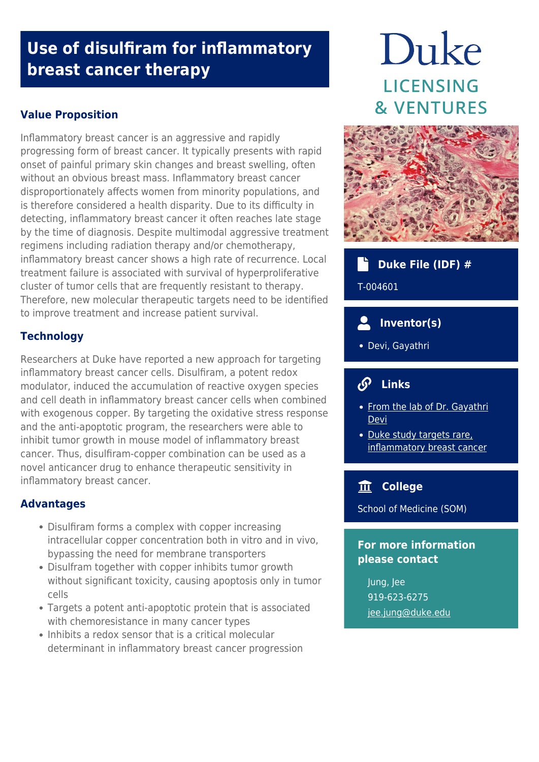## **Use of disulfiram for inflammatory breast cancer therapy**

## **Value Proposition**

Inflammatory breast cancer is an aggressive and rapidly progressing form of breast cancer. It typically presents with rapid onset of painful primary skin changes and breast swelling, often without an obvious breast mass. Inflammatory breast cancer disproportionately affects women from minority populations, and is therefore considered a health disparity. Due to its difficulty in detecting, inflammatory breast cancer it often reaches late stage by the time of diagnosis. Despite multimodal aggressive treatment regimens including radiation therapy and/or chemotherapy, inflammatory breast cancer shows a high rate of recurrence. Local treatment failure is associated with survival of hyperproliferative cluster of tumor cells that are frequently resistant to therapy. Therefore, new molecular therapeutic targets need to be identified to improve treatment and increase patient survival.

### **Technology**

Researchers at Duke have reported a new approach for targeting inflammatory breast cancer cells. Disulfiram, a potent redox modulator, induced the accumulation of reactive oxygen species and cell death in inflammatory breast cancer cells when combined with exogenous copper. By targeting the oxidative stress response and the anti-apoptotic program, the researchers were able to inhibit tumor growth in mouse model of inflammatory breast cancer. Thus, disulfiram-copper combination can be used as a novel anticancer drug to enhance therapeutic sensitivity in inflammatory breast cancer.

#### **Advantages**

- Disulfiram forms a complex with copper increasing intracellular copper concentration both in vitro and in vivo, bypassing the need for membrane transporters
- Disulfram together with copper inhibits tumor growth without significant toxicity, causing apoptosis only in tumor cells
- Targets a potent anti‐apoptotic protein that is associated with chemoresistance in many cancer types
- Inhibits a redox sensor that is a critical molecular determinant in inflammatory breast cancer progression

# Duke **LICENSING & VENTURES**



## **Duke File (IDF) #**

T-004601

## **Inventor(s)**

Devi, Gayathri

## **Links**

- [From the lab of Dr. Gayathri](https://surgery.duke.edu/faculty/gayathri-r-devi-phd) [Devi](https://surgery.duke.edu/faculty/gayathri-r-devi-phd)
- · [Duke study targets rare,](https://www.wral.com/duke-study-targets-rare-inflammatory-breast-cancer-treatment/14694248/) [inflammatory breast cancer](https://www.wral.com/duke-study-targets-rare-inflammatory-breast-cancer-treatment/14694248/)

## **College**

School of Medicine (SOM)

#### **For more information please contact**

Jung, Jee 919-623-6275 [jee.jung@duke.edu](mailto:jee.jung@duke.edu)